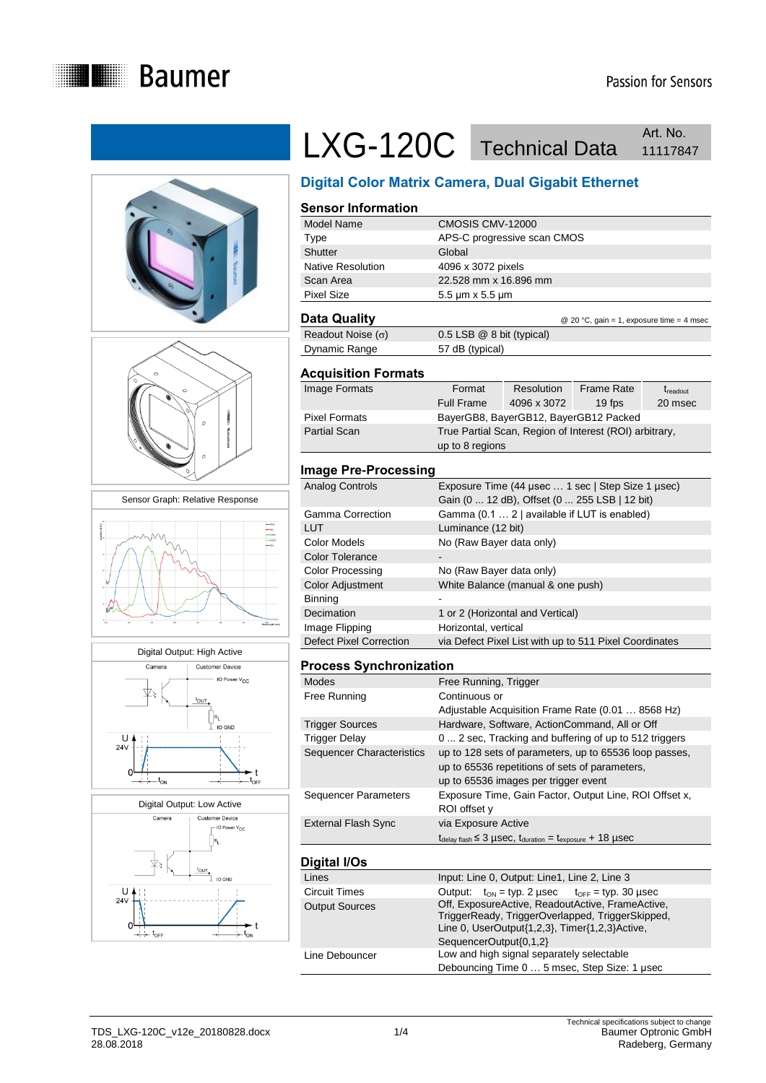













## LXG-120C Technical Data Art. No. Art. No.

## **Digital Color Matrix Camera, Dual Gigabit Ethernet**

## **Sensor Information**

| Model Name        | CMOSIS CMV-12000             |
|-------------------|------------------------------|
| Type              | APS-C progressive scan CMOS  |
| Shutter           | Global                       |
| Native Resolution | 4096 x 3072 pixels           |
| Scan Area         | 22.528 mm x 16.896 mm        |
| <b>Pixel Size</b> | $5.5 \mu m \times 5.5 \mu m$ |
|                   |                              |

#### **Data Quality Data Guality C** 20 °C, gain = 1, exposure time = 4 msec

| Readout Noise $(\sigma)$ | $0.5$ LSB $@$ 8 bit (typical) |  |
|--------------------------|-------------------------------|--|
| Dynamic Range            | 57 dB (typical)               |  |

#### **Acquisition Formats**

| Image Formats        | Format                                                 | Resolution                            | <b>Frame Rate</b> | t <sub>readout</sub> |
|----------------------|--------------------------------------------------------|---------------------------------------|-------------------|----------------------|
|                      | <b>Full Frame</b>                                      | 4096 x 3072                           | 19 fps            | 20 msec              |
| <b>Pixel Formats</b> |                                                        | BayerGB8, BayerGB12, BayerGB12 Packed |                   |                      |
| <b>Partial Scan</b>  | True Partial Scan, Region of Interest (ROI) arbitrary, |                                       |                   |                      |
|                      | up to 8 regions                                        |                                       |                   |                      |

#### **Image Pre-Processing**

| Analog Controls                | Exposure Time (44 usec  1 sec   Step Size 1 usec)      |
|--------------------------------|--------------------------------------------------------|
|                                | Gain (0  12 dB), Offset (0  255 LSB   12 bit)          |
| Gamma Correction               | Gamma (0.1  2   available if LUT is enabled)           |
| LUT                            | Luminance (12 bit)                                     |
| Color Models                   | No (Raw Bayer data only)                               |
| <b>Color Tolerance</b>         |                                                        |
| <b>Color Processing</b>        | No (Raw Bayer data only)                               |
| Color Adjustment               | White Balance (manual & one push)                      |
| Binning                        |                                                        |
| Decimation                     | 1 or 2 (Horizontal and Vertical)                       |
| Image Flipping                 | Horizontal, vertical                                   |
| <b>Defect Pixel Correction</b> | via Defect Pixel List with up to 511 Pixel Coordinates |

#### **Process Synchronization**

| <b>Modes</b>                | Free Running, Trigger                                                                                                                                                                    |
|-----------------------------|------------------------------------------------------------------------------------------------------------------------------------------------------------------------------------------|
| Free Running                | Continuous or                                                                                                                                                                            |
|                             | Adjustable Acquisition Frame Rate (0.01  8568 Hz)                                                                                                                                        |
| <b>Trigger Sources</b>      | Hardware, Software, ActionCommand, All or Off                                                                                                                                            |
| <b>Trigger Delay</b>        | 0  2 sec, Tracking and buffering of up to 512 triggers                                                                                                                                   |
| Sequencer Characteristics   | up to 128 sets of parameters, up to 65536 loop passes,<br>up to 65536 repetitions of sets of parameters,<br>up to 65536 images per trigger event                                         |
| <b>Sequencer Parameters</b> | Exposure Time, Gain Factor, Output Line, ROI Offset x,<br>ROI offset y                                                                                                                   |
| <b>External Flash Sync</b>  | via Exposure Active                                                                                                                                                                      |
|                             | $t_{\text{delay flash}} \leq 3$ µSeC, $t_{\text{duration}} = t_{\text{exposure}} + 18$ µSeC                                                                                              |
| Digital I/Os                |                                                                                                                                                                                          |
| Lines                       | Input: Line 0, Output: Line1, Line 2, Line 3                                                                                                                                             |
| <b>Circuit Times</b>        | $t_{ON}$ = typ. 2 µsec $t_{OFF}$ = typ. 30 µsec<br>Output:                                                                                                                               |
| <b>Output Sources</b>       | Off, ExposureActive, ReadoutActive, FrameActive,<br>TriggerReady, TriggerOverlapped, TriggerSkipped,<br>Line 0, $UserOutput{1,2,3}$ , $Timer{1,2,3}$ $Active,$<br>SequencerOutput{0,1,2} |
|                             |                                                                                                                                                                                          |

Line Debouncer Low and high signal separately selectable Debouncing Time 0 … 5 msec, Step Size: 1 μsec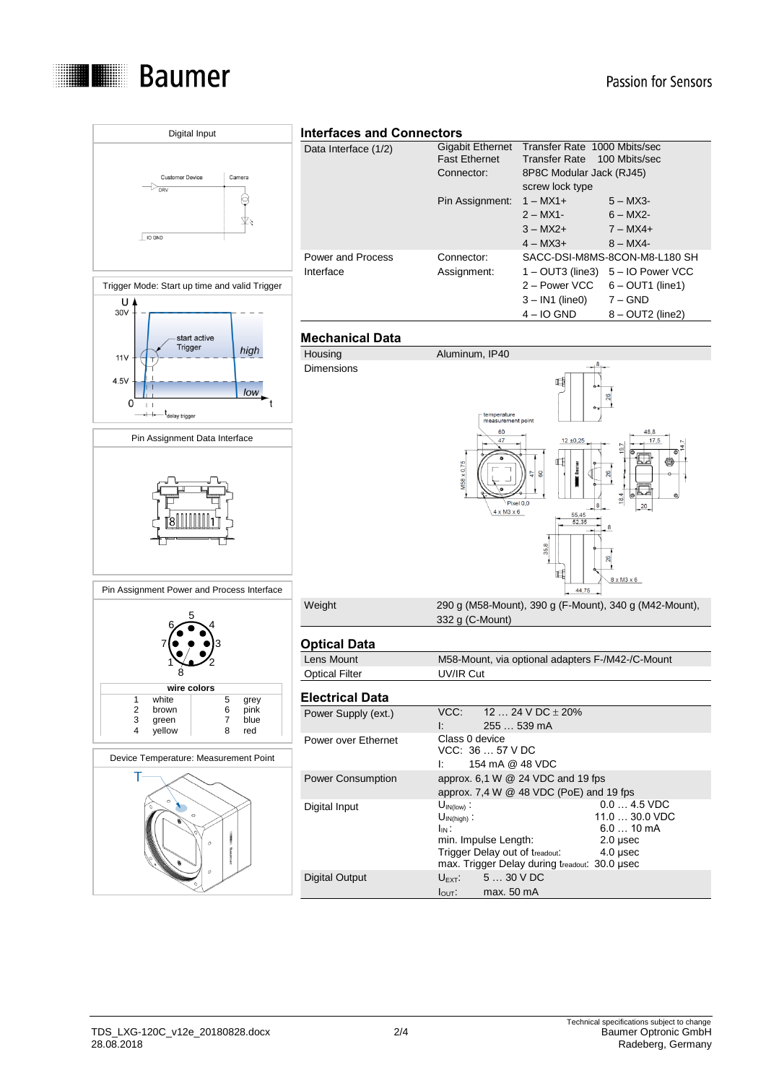

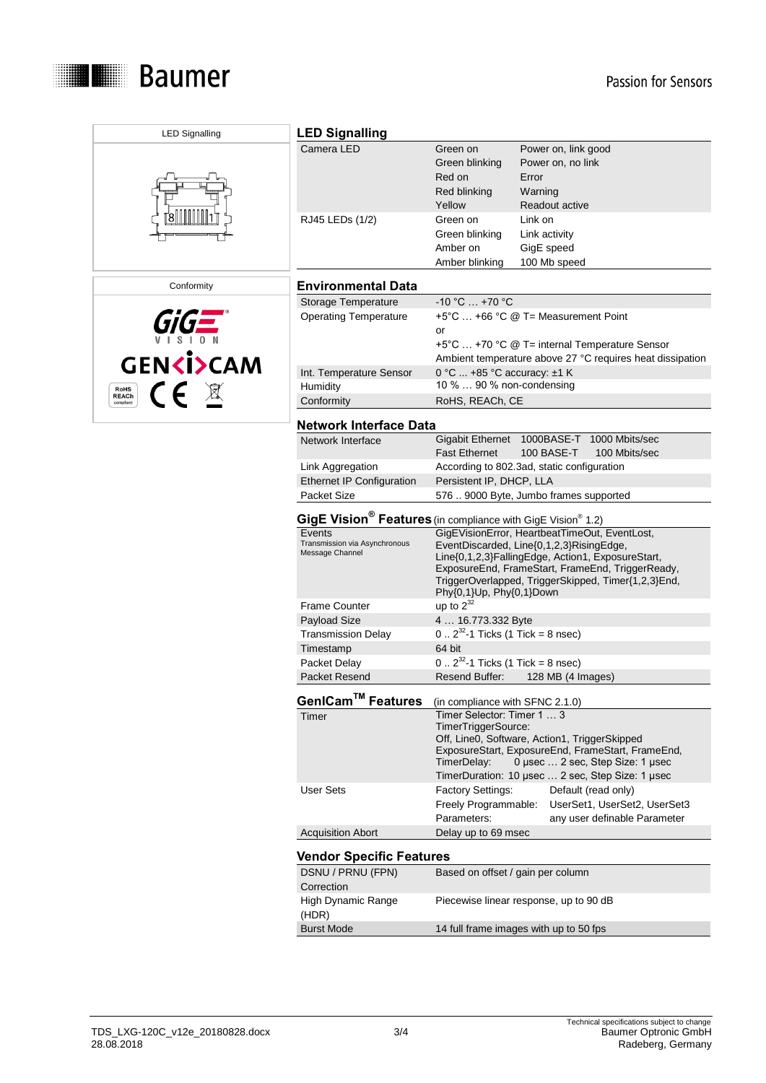

| <b>LED Signalling</b>               | <b>LED Signalling</b>                                                                                                                          |                                                                  |                                                                                                                                                                                                          |  |
|-------------------------------------|------------------------------------------------------------------------------------------------------------------------------------------------|------------------------------------------------------------------|----------------------------------------------------------------------------------------------------------------------------------------------------------------------------------------------------------|--|
|                                     | Camera LED                                                                                                                                     | Green on<br>Green blinking<br>Red on<br>Red blinking<br>Yellow   | Power on, link good<br>Power on, no link<br>Error<br>Warning<br>Readout active                                                                                                                           |  |
|                                     | RJ45 LEDs (1/2)                                                                                                                                | Green on<br>Green blinking<br>Amber on<br>Amber blinking         | Link on<br>Link activity<br>GigE speed<br>100 Mb speed                                                                                                                                                   |  |
| Conformity                          | <b>Environmental Data</b>                                                                                                                      |                                                                  |                                                                                                                                                                                                          |  |
|                                     | Storage Temperature                                                                                                                            | $-10 °C  +70 °C$                                                 |                                                                                                                                                                                                          |  |
|                                     | <b>Operating Temperature</b>                                                                                                                   | or                                                               | +5°C  +66 °C @ T= Measurement Point<br>+5°C  +70 °C @ T= internal Temperature Sensor<br>Ambient temperature above 27 °C requires heat dissipation                                                        |  |
| <b>GENKI&gt;CAM</b>                 | Int. Temperature Sensor                                                                                                                        | 0 °C  +85 °C accuracy: ±1 K                                      |                                                                                                                                                                                                          |  |
| CE X<br><b>RoHS</b><br><b>REACh</b> | Humidity                                                                                                                                       | 10 %  90 % non-condensing                                        |                                                                                                                                                                                                          |  |
| compliant                           | Conformity                                                                                                                                     | RoHS, REACh, CE                                                  |                                                                                                                                                                                                          |  |
|                                     | <b>Network Interface Data</b>                                                                                                                  |                                                                  |                                                                                                                                                                                                          |  |
|                                     | Network Interface                                                                                                                              | <b>Fast Ethernet</b>                                             | Gigabit Ethernet 1000BASE-T 1000 Mbits/sec<br>100 BASE-T<br>100 Mbits/sec                                                                                                                                |  |
|                                     | Link Aggregation                                                                                                                               |                                                                  | According to 802.3ad, static configuration                                                                                                                                                               |  |
|                                     | <b>Ethernet IP Configuration</b>                                                                                                               | Persistent IP, DHCP, LLA                                         |                                                                                                                                                                                                          |  |
|                                     | Packet Size                                                                                                                                    |                                                                  | 576  9000 Byte, Jumbo frames supported                                                                                                                                                                   |  |
|                                     | GigE Vision <sup>®</sup> Features (in compliance with GigE Vision <sup>®</sup> 1.2)<br>GigEVisionError, HeartbeatTimeOut, EventLost,<br>Events |                                                                  |                                                                                                                                                                                                          |  |
|                                     | Transmission via Asynchronous<br>Message Channel                                                                                               | Phy{0,1}Up, Phy{0,1}Down                                         | EventDiscarded, Line{0,1,2,3}RisingEdge,<br>Line{0,1,2,3}FallingEdge, Action1, ExposureStart,<br>ExposureEnd, FrameStart, FrameEnd, TriggerReady,<br>TriggerOverlapped, TriggerSkipped, Timer{1,2,3}End, |  |
|                                     | <b>Frame Counter</b>                                                                                                                           | up to $2^{32}$                                                   |                                                                                                                                                                                                          |  |
|                                     | Payload Size                                                                                                                                   | 4  16.773.332 Byte                                               |                                                                                                                                                                                                          |  |
|                                     | <b>Transmission Delay</b>                                                                                                                      | $0.2^{32}$ -1 Ticks (1 Tick = 8 nsec)                            |                                                                                                                                                                                                          |  |
|                                     | Timestamp                                                                                                                                      | 64 bit                                                           |                                                                                                                                                                                                          |  |
|                                     | Packet Delay                                                                                                                                   | $0.2^{32}$ -1 Ticks (1 Tick = 8 nsec)                            |                                                                                                                                                                                                          |  |
|                                     | Packet Resend                                                                                                                                  | Resend Buffer:                                                   | 128 MB (4 Images)                                                                                                                                                                                        |  |
|                                     | GenICam™ Features                                                                                                                              | (in compliance with SFNC 2.1.0)                                  |                                                                                                                                                                                                          |  |
|                                     | Timer                                                                                                                                          | Timer Selector: Timer 1  3<br>TimerTriggerSource:<br>TimerDelay: | Off, Line0, Software, Action1, TriggerSkipped<br>ExposureStart, ExposureEnd, FrameStart, FrameEnd,<br>0 µsec  2 sec, Step Size: 1 µsec<br>TimerDuration: 10 µsec  2 sec, Step Size: 1 µsec               |  |
|                                     | <b>User Sets</b>                                                                                                                               | <b>Factory Settings:</b><br>Freely Programmable:<br>Parameters:  | Default (read only)<br>UserSet1, UserSet2, UserSet3<br>any user definable Parameter                                                                                                                      |  |
|                                     | <b>Acquisition Abort</b>                                                                                                                       | Delay up to 69 msec                                              |                                                                                                                                                                                                          |  |
|                                     | <b>Vendor Specific Features</b>                                                                                                                |                                                                  |                                                                                                                                                                                                          |  |
|                                     | DSNU / PRNU (FPN)<br>Correction                                                                                                                | Based on offset / gain per column                                |                                                                                                                                                                                                          |  |
|                                     | High Dynamic Range<br>(HDR)                                                                                                                    |                                                                  | Piecewise linear response, up to 90 dB                                                                                                                                                                   |  |
|                                     | <b>Burst Mode</b>                                                                                                                              |                                                                  | 14 full frame images with up to 50 fps                                                                                                                                                                   |  |